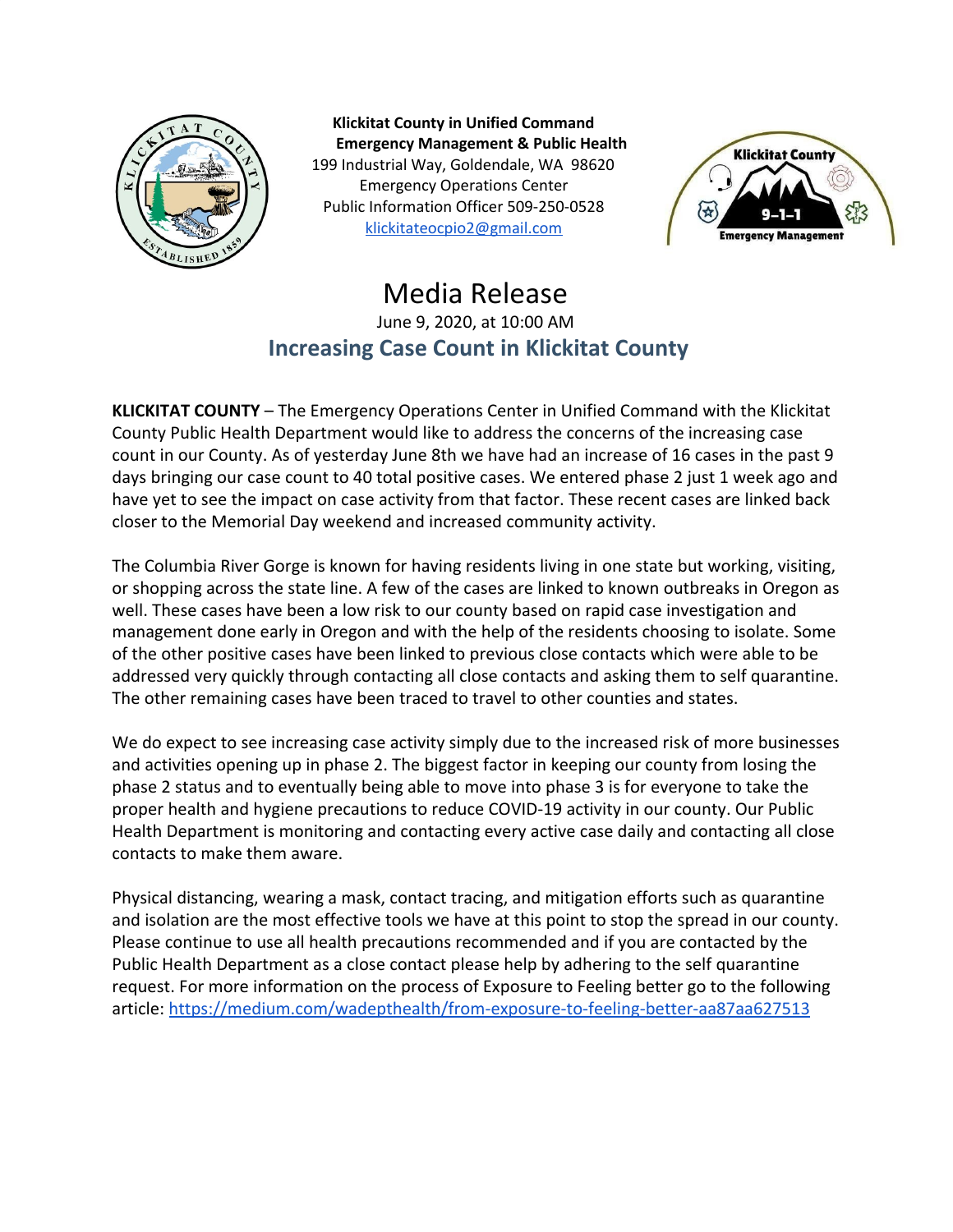

**Klickitat County in Unified Command Emergency Management & Public Health** 199 Industrial Way, Goldendale, WA 98620 Emergency Operations Center Public Information Officer 509-250-0528 [klickitateocpio2@gmail.com](mailto:klickitateocpio@gmail.com)



## Media Release June 9, 2020, at 10:00 AM **Increasing Case Count in Klickitat County**

**KLICKITAT COUNTY** – The Emergency Operations Center in Unified Command with the Klickitat County Public Health Department would like to address the concerns of the increasing case count in our County. As of yesterday June 8th we have had an increase of 16 cases in the past 9 days bringing our case count to 40 total positive cases. We entered phase 2 just 1 week ago and have yet to see the impact on case activity from that factor. These recent cases are linked back closer to the Memorial Day weekend and increased community activity.

The Columbia River Gorge is known for having residents living in one state but working, visiting, or shopping across the state line. A few of the cases are linked to known outbreaks in Oregon as well. These cases have been a low risk to our county based on rapid case investigation and management done early in Oregon and with the help of the residents choosing to isolate. Some of the other positive cases have been linked to previous close contacts which were able to be addressed very quickly through contacting all close contacts and asking them to self quarantine. The other remaining cases have been traced to travel to other counties and states.

We do expect to see increasing case activity simply due to the increased risk of more businesses and activities opening up in phase 2. The biggest factor in keeping our county from losing the phase 2 status and to eventually being able to move into phase 3 is for everyone to take the proper health and hygiene precautions to reduce COVID-19 activity in our county. Our Public Health Department is monitoring and contacting every active case daily and contacting all close contacts to make them aware.

Physical distancing, wearing a mask, contact tracing, and mitigation efforts such as quarantine and isolation are the most effective tools we have at this point to stop the spread in our county. Please continue to use all health precautions recommended and if you are contacted by the Public Health Department as a close contact please help by adhering to the self quarantine request. For more information on the process of Exposure to Feeling better go to the following article: <https://medium.com/wadepthealth/from-exposure-to-feeling-better-aa87aa627513>